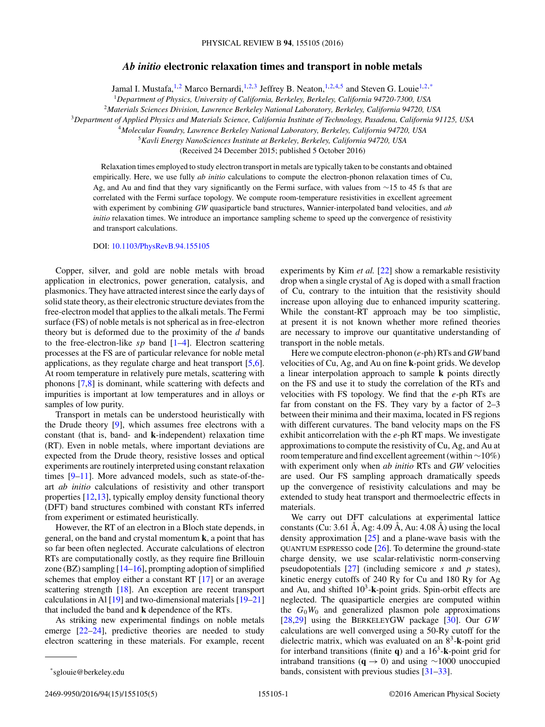## *Ab initio* **electronic relaxation times and transport in noble metals**

Jamal I. Mustafa,<sup>1,2</sup> Marco Bernardi,<sup>1,2,3</sup> Jeffrey B. Neaton,<sup>1,2,4,5</sup> and Steven G. Louie<sup>1,2,\*</sup>

<sup>1</sup>*Department of Physics, University of California, Berkeley, Berkeley, California 94720-7300, USA*

<sup>2</sup>*Materials Sciences Division, Lawrence Berkeley National Laboratory, Berkeley, California 94720, USA*

<sup>3</sup>*Department of Applied Physics and Materials Science, California Institute of Technology, Pasadena, California 91125, USA*

<sup>4</sup>*Molecular Foundry, Lawrence Berkeley National Laboratory, Berkeley, California 94720, USA*

<sup>5</sup>*Kavli Energy NanoSciences Institute at Berkeley, Berkeley, California 94720, USA*

(Received 24 December 2015; published 5 October 2016)

Relaxation times employed to study electron transport in metals are typically taken to be constants and obtained empirically. Here, we use fully *ab initio* calculations to compute the electron-phonon relaxation times of Cu, Ag, and Au and find that they vary significantly on the Fermi surface, with values from ∼15 to 45 fs that are correlated with the Fermi surface topology. We compute room-temperature resistivities in excellent agreement with experiment by combining *GW* quasiparticle band structures, Wannier-interpolated band velocities, and *ab initio* relaxation times. We introduce an importance sampling scheme to speed up the convergence of resistivity and transport calculations.

## DOI: [10.1103/PhysRevB.94.155105](http://dx.doi.org/10.1103/PhysRevB.94.155105)

Copper, silver, and gold are noble metals with broad application in electronics, power generation, catalysis, and plasmonics. They have attracted interest since the early days of solid state theory, as their electronic structure deviates from the free-electron model that applies to the alkali metals. The Fermi surface (FS) of noble metals is not spherical as in free-electron theory but is deformed due to the proximity of the *d* bands to the free-electron-like *sp* band [\[1–4\]](#page-4-0). Electron scattering processes at the FS are of particular relevance for noble metal applications, as they regulate charge and heat transport [\[5,6\]](#page-4-0). At room temperature in relatively pure metals, scattering with phonons [\[7,8\]](#page-4-0) is dominant, while scattering with defects and impurities is important at low temperatures and in alloys or samples of low purity.

Transport in metals can be understood heuristically with the Drude theory [\[9\]](#page-4-0), which assumes free electrons with a constant (that is, band- and **k**-independent) relaxation time (RT). Even in noble metals, where important deviations are expected from the Drude theory, resistive losses and optical experiments are routinely interpreted using constant relaxation times [\[9–11\]](#page-4-0). More advanced models, such as state-of-theart *ab initio* calculations of resistivity and other transport properties [\[12,13\]](#page-4-0), typically employ density functional theory (DFT) band structures combined with constant RTs inferred from experiment or estimated heuristically.

However, the RT of an electron in a Bloch state depends, in general, on the band and crystal momentum **k**, a point that has so far been often neglected. Accurate calculations of electron RTs are computationally costly, as they require fine Brillouin zone (BZ) sampling  $[14–16]$ , prompting adoption of simplified schemes that employ either a constant RT [\[17\]](#page-4-0) or an average scattering strength [\[18\]](#page-4-0). An exception are recent transport calculations in Al  $[19]$  and two-dimensional materials  $[19-21]$ that included the band and **k** dependence of the RTs.

As striking new experimental findings on noble metals emerge [\[22–24\]](#page-4-0), predictive theories are needed to study electron scattering in these materials. For example, recent

Here we compute electron-phonon (*e*-ph) RTs and *GW* band velocities of Cu, Ag, and Au on fine **k**-point grids. We develop a linear interpolation approach to sample **k** points directly on the FS and use it to study the correlation of the RTs and velocities with FS topology. We find that the *e*-ph RTs are far from constant on the FS. They vary by a factor of 2–3 between their minima and their maxima, located in FS regions with different curvatures. The band velocity maps on the FS exhibit anticorrelation with the *e*-ph RT maps. We investigate approximations to compute the resistivity of Cu, Ag, and Au at room temperature and find excellent agreement (within ∼10%) with experiment only when *ab initio* RTs and *GW* velocities are used. Our FS sampling approach dramatically speeds up the convergence of resistivity calculations and may be extended to study heat transport and thermoelectric effects in materials.

We carry out DFT calculations at experimental lattice constants (Cu: 3.61 Å, Ag: 4.09 Å, Au: 4.08 Å) using the local density approximation [\[25\]](#page-4-0) and a plane-wave basis with the QUANTUM ESPRESSO code [\[26\]](#page-4-0). To determine the ground-state charge density, we use scalar-relativistic norm-conserving pseudopotentials [\[27\]](#page-4-0) (including semicore *s* and *p* states), kinetic energy cutoffs of 240 Ry for Cu and 180 Ry for Ag and Au, and shifted  $10<sup>3</sup>$ -**k**-point grids. Spin-orbit effects are neglected. The quasiparticle energies are computed within the  $G_0W_0$  and generalized plasmon pole approximations [\[28,29\]](#page-4-0) using the BERKELEYGW package [\[30\]](#page-4-0). Our *GW* calculations are well converged using a 50-Ry cutoff for the dielectric matrix, which was evaluated on an  $8^3$ -**k**-point grid for interband transitions (finite  $q$ ) and a  $16<sup>3</sup>$ -**k**-point grid for intraband transitions (**q** → 0) and using ∼1000 unoccupied bands, consistent with previous studies [\[31–33\]](#page-4-0).

experiments by Kim *et al.* [\[22\]](#page-4-0) show a remarkable resistivity drop when a single crystal of Ag is doped with a small fraction of Cu, contrary to the intuition that the resistivity should increase upon alloying due to enhanced impurity scattering. While the constant-RT approach may be too simplistic, at present it is not known whether more refined theories are necessary to improve our quantitative understanding of transport in the noble metals.

<sup>\*</sup>sglouie@berkeley.edu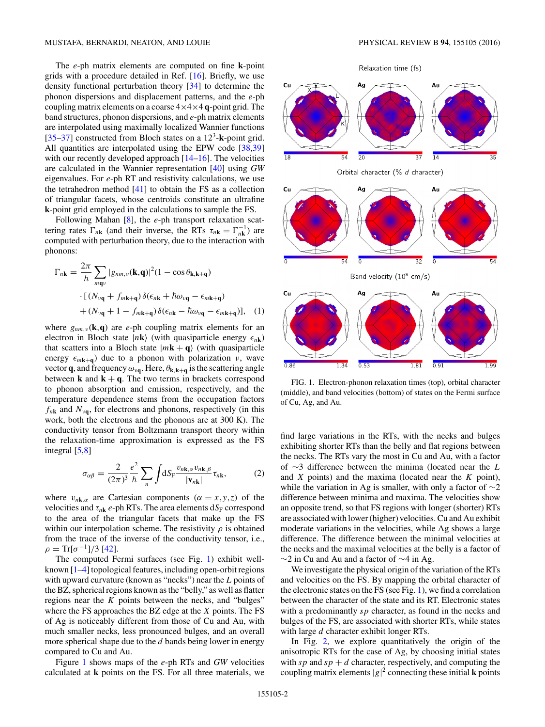<span id="page-1-0"></span>The *e*-ph matrix elements are computed on fine **k**-point grids with a procedure detailed in Ref. [\[16\]](#page-4-0). Briefly, we use density functional perturbation theory [\[34\]](#page-4-0) to determine the phonon dispersions and displacement patterns, and the *e*-ph coupling matrix elements on a coarse 4×4×4 **q**-point grid. The band structures, phonon dispersions, and *e*-ph matrix elements are interpolated using maximally localized Wannier functions [\[35–37\]](#page-4-0) constructed from Bloch states on a  $12<sup>3</sup>$ -**k**-point grid. All quantities are interpolated using the EPW code [\[38,39\]](#page-4-0) with our recently developed approach [\[14–16\]](#page-4-0). The velocities are calculated in the Wannier representation [\[40\]](#page-4-0) using *GW* eigenvalues. For *e*-ph RT and resistivity calculations, we use the tetrahedron method [\[41\]](#page-4-0) to obtain the FS as a collection of triangular facets, whose centroids constitute an ultrafine **k**-point grid employed in the calculations to sample the FS.

Following Mahan [\[8\]](#page-4-0), the *e*-ph transport relaxation scattering rates  $\Gamma_{n\mathbf{k}}$  (and their inverse, the RTs  $\tau_{n\mathbf{k}} = \Gamma_{n\mathbf{k}}^{-1}$ ) are computed with perturbation theory, due to the interaction with phonons:

$$
\Gamma_{n\mathbf{k}} = \frac{2\pi}{\hbar} \sum_{m\mathbf{q}\nu} |g_{nm,\nu}(\mathbf{k}, \mathbf{q})|^2 (1 - \cos \theta_{\mathbf{k}, \mathbf{k} + \mathbf{q}})
$$

$$
\cdot [(N_{\nu\mathbf{q}} + f_{m\mathbf{k} + \mathbf{q}}) \delta(\epsilon_{n\mathbf{k}} + \hbar \omega_{\nu\mathbf{q}} - \epsilon_{m\mathbf{k} + \mathbf{q}})
$$

$$
+ (N_{\nu\mathbf{q}} + 1 - f_{m\mathbf{k} + \mathbf{q}}) \delta(\epsilon_{n\mathbf{k}} - \hbar \omega_{\nu\mathbf{q}} - \epsilon_{m\mathbf{k} + \mathbf{q}})], \quad (1)
$$

where  $g_{nm,\nu}(\mathbf{k},\mathbf{q})$  are *e*-ph coupling matrix elements for an electron in Bloch state  $|n\mathbf{k}\rangle$  (with quasiparticle energy  $\epsilon_{n\mathbf{k}}$ ) that scatters into a Bloch state  $|m\mathbf{k} + \mathbf{q}\rangle$  (with quasiparticle energy  $\epsilon_{m\mathbf{k}+\mathbf{q}}$ ) due to a phonon with polarization *ν*, wave vector **q**, and frequency  $\omega_{\nu q}$ . Here,  $\theta_{k,k+q}$  is the scattering angle between  $\bf{k}$  and  $\bf{k} + \bf{q}$ . The two terms in brackets correspond to phonon absorption and emission, respectively, and the temperature dependence stems from the occupation factors  $f_{n\mathbf{k}}$  and  $N_{\nu\mathbf{q}}$ , for electrons and phonons, respectively (in this work, both the electrons and the phonons are at 300 K). The conductivity tensor from Boltzmann transport theory within the relaxation-time approximation is expressed as the FS integral [\[5,8\]](#page-4-0)

$$
\sigma_{\alpha\beta} = \frac{2}{(2\pi)^3} \frac{e^2}{\hbar} \sum_{n} \int \! \mathrm{d}S_{\mathrm{F}} \frac{v_{n\mathbf{k},\alpha} v_{n\mathbf{k},\beta}}{|\mathbf{v}_{n\mathbf{k}}|} \tau_{n\mathbf{k}},\tag{2}
$$

where  $v_{n\mathbf{k},\alpha}$  are Cartesian components ( $\alpha = x, y, z$ ) of the velocities and  $\tau_{nk}$  *e*-ph RTs. The area elements  $dS_F$  correspond to the area of the triangular facets that make up the FS within our interpolation scheme. The resistivity  $\rho$  is obtained from the trace of the inverse of the conductivity tensor, i.e.,  $\rho = \text{Tr}[\sigma^{-1}]/3$  [\[42\]](#page-4-0).

The computed Fermi surfaces (see Fig. 1) exhibit wellknown [\[1–4\]](#page-4-0) topological features, including open-orbit regions with upward curvature (known as "necks") near the *L* points of the BZ, spherical regions known as the "belly," as well as flatter regions near the *K* points between the necks, and "bulges" where the FS approaches the BZ edge at the *X* points. The FS of Ag is noticeably different from those of Cu and Au, with much smaller necks, less pronounced bulges, and an overall more spherical shape due to the *d* bands being lower in energy compared to Cu and Au.

Figure 1 shows maps of the *e*-ph RTs and *GW* velocities calculated at **k** points on the FS. For all three materials, we Relaxation time (fs)



FIG. 1. Electron-phonon relaxation times (top), orbital character (middle), and band velocities (bottom) of states on the Fermi surface of Cu, Ag, and Au.

find large variations in the RTs, with the necks and bulges exhibiting shorter RTs than the belly and flat regions between the necks. The RTs vary the most in Cu and Au, with a factor of ∼3 difference between the minima (located near the *L* and *X* points) and the maxima (located near the *K* point), while the variation in Ag is smaller, with only a factor of  $\sim$ 2 difference between minima and maxima. The velocities show an opposite trend, so that FS regions with longer (shorter) RTs are associated with lower (higher) velocities. Cu and Au exhibit moderate variations in the velocities, while Ag shows a large difference. The difference between the minimal velocities at the necks and the maximal velocities at the belly is a factor of  $\sim$ 2 in Cu and Au and a factor of  $\sim$ 4 in Ag.

We investigate the physical origin of the variation of the RTs and velocities on the FS. By mapping the orbital character of the electronic states on the FS (see Fig. 1), we find a correlation between the character of the state and its RT. Electronic states with a predominantly *sp* character, as found in the necks and bulges of the FS, are associated with shorter RTs, while states with large *d* character exhibit longer RTs.

In Fig. [2,](#page-2-0) we explore quantitatively the origin of the anisotropic RTs for the case of Ag, by choosing initial states with  $sp$  and  $sp + d$  character, respectively, and computing the coupling matrix elements  $|g|^2$  connecting these initial **k** points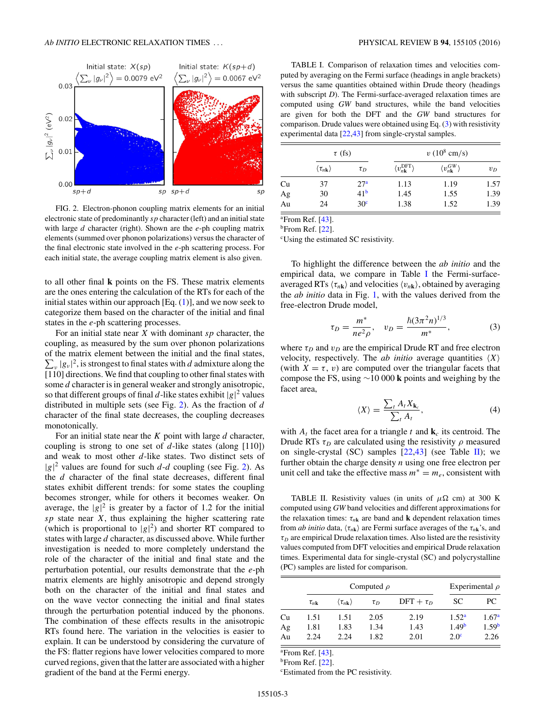<span id="page-2-0"></span>

FIG. 2. Electron-phonon coupling matrix elements for an initial electronic state of predominantly *sp* character (left) and an initial state with large *d* character (right). Shown are the *e*-ph coupling matrix elements (summed over phonon polarizations) versus the character of the final electronic state involved in the *e*-ph scattering process. For each initial state, the average coupling matrix element is also given.

to all other final **k** points on the FS. These matrix elements are the ones entering the calculation of the RTs for each of the initial states within our approach  $[Eq. (1)]$  $[Eq. (1)]$  $[Eq. (1)]$ , and we now seek to categorize them based on the character of the initial and final states in the *e*-ph scattering processes.

For an initial state near *X* with dominant *sp* character, the coupling, as measured by the sum over phonon polarizations of the matrix element between the initial and the final states,  $\sum_{v} |g_v|^2$ , is strongest to final states with *d* admixture along the [110] directions. We find that coupling to other final states with some *d* character is in general weaker and strongly anisotropic, so that different groups of final *d*-like states exhibit  $|g|^2$  values distributed in multiple sets (see Fig. 2). As the fraction of *d* character of the final state decreases, the coupling decreases monotonically.

For an initial state near the *K* point with large *d* character, coupling is strong to one set of *d*-like states (along [110]) and weak to most other *d*-like states. Two distinct sets of  $|g|^2$  values are found for such *d*-*d* coupling (see Fig. 2). As the *d* character of the final state decreases, different final states exhibit different trends: for some states the coupling becomes stronger, while for others it becomes weaker. On average, the  $|g|^2$  is greater by a factor of 1.2 for the initial *sp* state near *X*, thus explaining the higher scattering rate (which is proportional to  $|g|^2$ ) and shorter RT compared to states with large *d* character, as discussed above. While further investigation is needed to more completely understand the role of the character of the initial and final state and the perturbation potential, our results demonstrate that the *e*-ph matrix elements are highly anisotropic and depend strongly both on the character of the initial and final states and on the wave vector connecting the initial and final states through the perturbation potential induced by the phonons. The combination of these effects results in the anisotropic RTs found here. The variation in the velocities is easier to explain. It can be understood by considering the curvature of the FS: flatter regions have lower velocities compared to more curved regions, given that the latter are associated with a higher gradient of the band at the Fermi energy.

TABLE I. Comparison of relaxation times and velocities computed by averaging on the Fermi surface (headings in angle brackets) versus the same quantities obtained within Drude theory (headings with subscript *D*). The Fermi-surface-averaged relaxation times are computed using *GW* band structures, while the band velocities are given for both the DFT and the *GW* band structures for comparison. Drude values were obtained using Eq. (3) with resistivity experimental data [\[22,43\]](#page-4-0) from single-crystal samples.

|    | $\tau$ (fs)                          |                 | $v(10^8 \text{ cm/s})$                     |                                       |       |  |
|----|--------------------------------------|-----------------|--------------------------------------------|---------------------------------------|-------|--|
|    | $\langle \tau_{n\mathbf{k}} \rangle$ | $\tau_D$        | $\langle v_{n\mathbf{k}}^{\rm DFT}\rangle$ | $\langle v^{GW}_{n\mathbf{k}}\rangle$ | $v_D$ |  |
| Cu | 37                                   | 27 <sup>a</sup> | 1.13                                       | 1.19                                  | 1.57  |  |
| Ag | 30                                   | 41 <sup>b</sup> | 1.45                                       | 1.55                                  | 1.39  |  |
| Au | 24                                   | 30 <sup>c</sup> | 1.38                                       | 1.52                                  | 1.39  |  |

a From Ref. [\[43\]](#page-4-0).

<sup>b</sup>From Ref. [\[22\]](#page-4-0).

c Using the estimated SC resistivity.

To highlight the difference between the *ab initio* and the empirical data, we compare in Table I the Fermi-surfaceaveraged RTs  $\langle \tau_{n\mathbf{k}} \rangle$  and velocities  $\langle v_{n\mathbf{k}} \rangle$ , obtained by averaging the *ab initio* data in Fig. [1,](#page-1-0) with the values derived from the free-electron Drude model,

$$
\tau_D = \frac{m^*}{ne^2 \rho}, \quad v_D = \frac{\hbar (3\pi^2 n)^{1/3}}{m^*}, \tag{3}
$$

where  $\tau_D$  and  $v_D$  are the empirical Drude RT and free electron velocity, respectively. The *ab initio* average quantities  $\langle X \rangle$ (with  $X = \tau$ , *v*) are computed over the triangular facets that compose the FS, using ∼10 000 **k** points and weighing by the facet area,

$$
\langle X \rangle = \frac{\sum_{t} A_{t} X_{\mathbf{k}_{c}}}{\sum_{t} A_{t}},\tag{4}
$$

with  $A_t$  the facet area for a triangle t and  $\mathbf{k}_c$  its centroid. The Drude RTs  $\tau_D$  are calculated using the resistivity  $\rho$  measured on single-crystal (SC) samples  $[22,43]$  (see Table II); we further obtain the charge density *n* using one free electron per unit cell and take the effective mass  $m^* = m_e$ , consistent with

TABLE II. Resistivity values (in units of  $\mu\Omega$  cm) at 300 K computed using *GW* band velocities and different approximations for the relaxation times:  $\tau_{nk}$  are band and **k** dependent relaxation times from *ab initio* data,  $\langle \tau_{n\mathbf{k}} \rangle$  are Fermi surface averages of the  $\tau_{n\mathbf{k}}$ 's, and  $\tau_D$  are empirical Drude relaxation times. Also listed are the resistivity values computed from DFT velocities and empirical Drude relaxation times. Experimental data for single-crystal (SC) and polycrystalline (PC) samples are listed for comparison.

|    |                      | Computed $\rho$                      | Experimental $\rho$ |                |                   |                   |
|----|----------------------|--------------------------------------|---------------------|----------------|-------------------|-------------------|
|    | $\tau_{n\mathbf{k}}$ | $\langle \tau_{n\mathbf{k}} \rangle$ | $\tau_D$            | DFT + $\tau_D$ | SC                | PC.               |
| Cu | 1.51                 | 1.51                                 | 2.05                | 2.19           | 1.52 <sup>a</sup> | 1.67 <sup>a</sup> |
| Ag | 1.81                 | 1.83                                 | 1.34                | 1.43           | 1.49 <sup>b</sup> | 1.59 <sup>b</sup> |
| Au | 2.24                 | 2.24                                 | 1.82                | 2.01           | 2.0 <sup>c</sup>  | 2.26              |

a From Ref. [\[43\]](#page-4-0).

 $<sup>b</sup>$ From Ref. [\[22\]](#page-4-0).</sup>

c Estimated from the PC resistivity.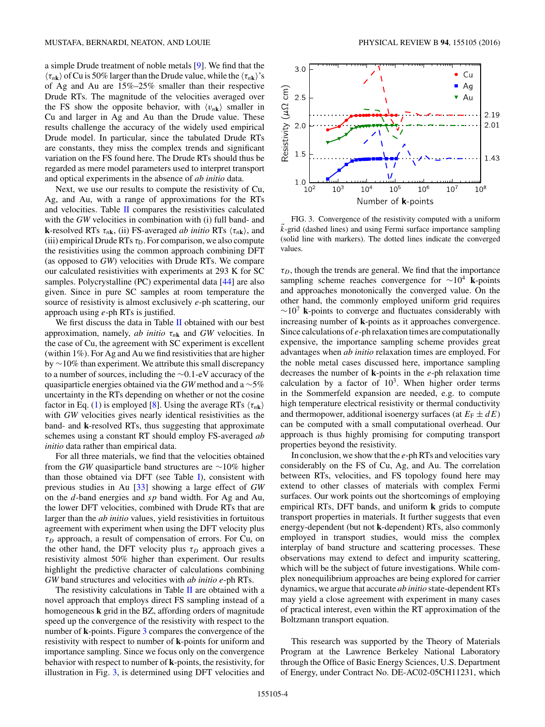a simple Drude treatment of noble metals [\[9\]](#page-4-0). We find that the  $\langle \tau_{n\mathbf{k}} \rangle$  of Cu is 50% larger than the Drude value, while the  $\langle \tau_{n\mathbf{k}} \rangle$ 's of Ag and Au are 15%–25% smaller than their respective Drude RTs. The magnitude of the velocities averaged over the FS show the opposite behavior, with  $\langle v_{n\mathbf{k}} \rangle$  smaller in Cu and larger in Ag and Au than the Drude value. These results challenge the accuracy of the widely used empirical Drude model. In particular, since the tabulated Drude RTs are constants, they miss the complex trends and significant variation on the FS found here. The Drude RTs should thus be regarded as mere model parameters used to interpret transport and optical experiments in the absence of *ab initio* data.

Next, we use our results to compute the resistivity of Cu, Ag, and Au, with a range of approximations for the RTs and velocities. Table [II](#page-2-0) compares the resistivities calculated with the *GW* velocities in combination with (i) full band- and **k**-resolved RTs  $\tau_{n\mathbf{k}}$ , (ii) FS-averaged *ab initio* RTs  $\langle \tau_{n\mathbf{k}} \rangle$ , and (iii) empirical Drude RTs  $\tau_D$ . For comparison, we also compute the resistivities using the common approach combining DFT (as opposed to *GW*) velocities with Drude RTs. We compare our calculated resistivities with experiments at 293 K for SC samples. Polycrystalline (PC) experimental data [\[44\]](#page-4-0) are also given. Since in pure SC samples at room temperature the source of resistivity is almost exclusively *e*-ph scattering, our approach using *e*-ph RTs is justified.

We first discuss the data in Table [II](#page-2-0) obtained with our best approximation, namely, *ab initio τn***<sup>k</sup>** and *GW* velocities. In the case of Cu, the agreement with SC experiment is excellent (within 1%). For Ag and Au we find resistivities that are higher by ∼10% than experiment. We attribute this small discrepancy to a number of sources, including the ∼0.1-eV accuracy of the quasiparticle energies obtained via the *GW* method and a ∼5% uncertainty in the RTs depending on whether or not the cosine factor in Eq. [\(1\)](#page-1-0) is employed [\[8\]](#page-4-0). Using the average RTs  $\langle \tau_{n\mathbf{k}} \rangle$ with *GW* velocities gives nearly identical resistivities as the band- and **k**-resolved RTs, thus suggesting that approximate schemes using a constant RT should employ FS-averaged *ab initio* data rather than empirical data.

For all three materials, we find that the velocities obtained from the *GW* quasiparticle band structures are ∼10% higher than those obtained via DFT (see Table [I\)](#page-2-0), consistent with previous studies in Au [\[33\]](#page-4-0) showing a large effect of *GW* on the *d*-band energies and *sp* band width. For Ag and Au, the lower DFT velocities, combined with Drude RTs that are larger than the *ab initio* values, yield resistivities in fortuitous agreement with experiment when using the DFT velocity plus *τD* approach, a result of compensation of errors. For Cu, on the other hand, the DFT velocity plus  $\tau_D$  approach gives a resistivity almost 50% higher than experiment. Our results highlight the predictive character of calculations combining *GW* band structures and velocities with *ab initio e*-ph RTs.

The resistivity calculations in Table  $II$  are obtained with a novel approach that employs direct FS sampling instead of a homogeneous **k** grid in the BZ, affording orders of magnitude speed up the convergence of the resistivity with respect to the number of **k**-points. Figure 3 compares the convergence of the resistivity with respect to number of **k**-points for uniform and importance sampling. Since we focus only on the convergence behavior with respect to number of **k**-points, the resistivity, for illustration in Fig. 3, is determined using DFT velocities and



FIG. 3. Convergence of the resistivity computed with a uniform  $\vec{k}$ -grid (dashed lines) and using Fermi surface importance sampling (solid line with markers). The dotted lines indicate the converged values.

 $\tau_D$ , though the trends are general. We find that the importance sampling scheme reaches convergence for <sup>∼</sup>104 **<sup>k</sup>**-points and approaches monotonically the converged value. On the other hand, the commonly employed uniform grid requires  $\sim 10^{7}$  k-points to converge and fluctuates considerably with increasing number of **k**-points as it approaches convergence. Since calculations of *e*-ph relaxation times are computationally expensive, the importance sampling scheme provides great advantages when *ab initio* relaxation times are employed. For the noble metal cases discussed here, importance sampling decreases the number of **k**-points in the *e*-ph relaxation time calculation by a factor of  $10<sup>3</sup>$ . When higher order terms in the Sommerfeld expansion are needed, e.g. to compute high temperature electrical resistivity or thermal conductivity and thermopower, additional isoenergy surfaces (at  $E_F \pm dE$ ) can be computed with a small computational overhead. Our approach is thus highly promising for computing transport properties beyond the resistivity.

In conclusion, we show that the *e*-ph RTs and velocities vary considerably on the FS of Cu, Ag, and Au. The correlation between RTs, velocities, and FS topology found here may extend to other classes of materials with complex Fermi surfaces. Our work points out the shortcomings of employing empirical RTs, DFT bands, and uniform **k** grids to compute transport properties in materials. It further suggests that even energy-dependent (but not **k**-dependent) RTs, also commonly employed in transport studies, would miss the complex interplay of band structure and scattering processes. These observations may extend to defect and impurity scattering, which will be the subject of future investigations. While complex nonequilibrium approaches are being explored for carrier dynamics, we argue that accurate *ab initio* state-dependent RTs may yield a close agreement with experiment in many cases of practical interest, even within the RT approximation of the Boltzmann transport equation.

This research was supported by the Theory of Materials Program at the Lawrence Berkeley National Laboratory through the Office of Basic Energy Sciences, U.S. Department of Energy, under Contract No. DE-AC02-05CH11231, which